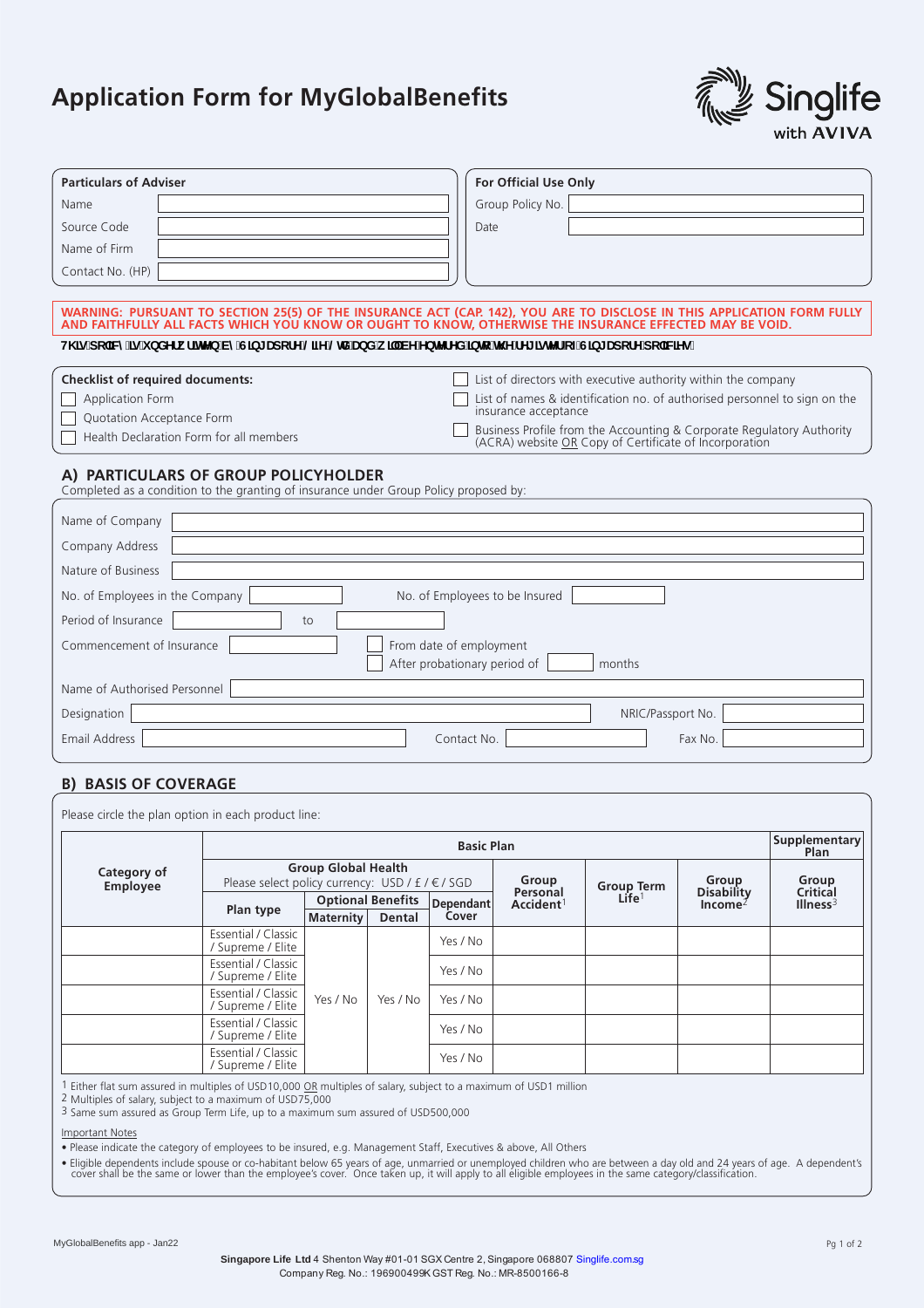## **Application Form for MyGlobalBenefits**



| <b>Particulars of Adviser</b>                                                                                                                                                                                                     | <b>For Official Use Only</b>                                                                                                 |  |  |  |  |  |  |
|-----------------------------------------------------------------------------------------------------------------------------------------------------------------------------------------------------------------------------------|------------------------------------------------------------------------------------------------------------------------------|--|--|--|--|--|--|
| Name                                                                                                                                                                                                                              | Group Policy No.                                                                                                             |  |  |  |  |  |  |
| Source Code                                                                                                                                                                                                                       | Date                                                                                                                         |  |  |  |  |  |  |
| Name of Firm                                                                                                                                                                                                                      |                                                                                                                              |  |  |  |  |  |  |
| Contact No. (HP)                                                                                                                                                                                                                  |                                                                                                                              |  |  |  |  |  |  |
|                                                                                                                                                                                                                                   |                                                                                                                              |  |  |  |  |  |  |
| WARNING: PURSUANT TO SECTION 25(5) OF THE INSURANCE ACT (CAP. 142), YOU ARE TO DISCLOSE IN THIS APPLICATION FORM FULLY<br>AND FAITHFULLY ALL FACTS WHICH YOU KNOW OR OUGHT TO KNOW, OTHERWISE THE INSURANCE EFFECTED MAY BE VOID. |                                                                                                                              |  |  |  |  |  |  |
| H\]g'dc`]Wri]g'i bXYfk f]HYb'VmG]b[ UdcfY'@ZY'@X'UbX'k ]``VY'YbHYfYX']blc`l\YfY[ ]gHYf'cZG]b[ UdcfY'dc`]V[Yg"                                                                                                                     |                                                                                                                              |  |  |  |  |  |  |
| <b>Checklist of required documents:</b>                                                                                                                                                                                           | List of directors with executive authority within the company                                                                |  |  |  |  |  |  |
| Application Form<br>Quotation Acceptance Form                                                                                                                                                                                     | List of names & identification no. of authorised personnel to sign on the<br>insurance acceptance                            |  |  |  |  |  |  |
| Health Declaration Form for all members                                                                                                                                                                                           | Business Profile from the Accounting & Corporate Regulatory Authority (ACRA) website OR Copy of Certificate of Incorporation |  |  |  |  |  |  |
| A) PARTICULARS OF GROUP POLICYHOLDER<br>Completed as a condition to the granting of insurance under Group Policy proposed by:                                                                                                     |                                                                                                                              |  |  |  |  |  |  |
|                                                                                                                                                                                                                                   |                                                                                                                              |  |  |  |  |  |  |
| Name of Company                                                                                                                                                                                                                   |                                                                                                                              |  |  |  |  |  |  |
| Company Address                                                                                                                                                                                                                   |                                                                                                                              |  |  |  |  |  |  |
| Nature of Business                                                                                                                                                                                                                |                                                                                                                              |  |  |  |  |  |  |
| No. of Employees in the Company                                                                                                                                                                                                   | No. of Employees to be Insured                                                                                               |  |  |  |  |  |  |
| Period of Insurance<br>to                                                                                                                                                                                                         |                                                                                                                              |  |  |  |  |  |  |
| Commencement of Insurance<br>From date of employment                                                                                                                                                                              |                                                                                                                              |  |  |  |  |  |  |
|                                                                                                                                                                                                                                   | After probationary period of<br>months                                                                                       |  |  |  |  |  |  |
| Name of Authorised Personnel                                                                                                                                                                                                      |                                                                                                                              |  |  |  |  |  |  |
| Designation                                                                                                                                                                                                                       | NRIC/Passport No.                                                                                                            |  |  |  |  |  |  |
| <b>Email Address</b>                                                                                                                                                                                                              | Contact No.<br>Fax No.                                                                                                       |  |  |  |  |  |  |
|                                                                                                                                                                                                                                   |                                                                                                                              |  |  |  |  |  |  |
| <b>B) BASIS OF COVERAGE</b>                                                                                                                                                                                                       |                                                                                                                              |  |  |  |  |  |  |
|                                                                                                                                                                                                                                   |                                                                                                                              |  |  |  |  |  |  |

| Please circle the plan option in each product line: | <b>Basic Plan</b>                                                              |                          |          |                  |                                   |                                 |                                | Supplementary<br>Plan                  |
|-----------------------------------------------------|--------------------------------------------------------------------------------|--------------------------|----------|------------------|-----------------------------------|---------------------------------|--------------------------------|----------------------------------------|
| Category of<br><b>Employee</b>                      | <b>Group Global Health</b><br>Please select policy currency: USD / £ / € / SGD |                          |          | Group            |                                   | Group                           | Group                          |                                        |
|                                                     |                                                                                | <b>Optional Benefits</b> |          | <b>Dependant</b> | Personal<br>Accident <sup>1</sup> | Group Term<br>Life <sup>1</sup> | <b>Disability</b><br>$Income2$ | <b>Critical</b><br>Ilines <sup>3</sup> |
|                                                     | Plan type                                                                      | <b>Maternity</b>         | Dental   | Cover            |                                   |                                 |                                |                                        |
|                                                     | Essential / Classic<br>/ Supreme / Elite                                       | Yes / No                 | Yes / No | Yes / No         |                                   |                                 |                                |                                        |
|                                                     | Essential / Classic<br>/ Supreme / Elite                                       |                          |          | Yes / No         |                                   |                                 |                                |                                        |
|                                                     | Essential / Classic<br>/ Supreme / Elite                                       |                          |          | Yes / No         |                                   |                                 |                                |                                        |
|                                                     | Essential / Classic<br>/ Supreme / Elite                                       |                          |          | Yes / No         |                                   |                                 |                                |                                        |
|                                                     | Essential / Classic<br>/ Supreme / Elite                                       |                          |          | Yes / No         |                                   |                                 |                                |                                        |

<sup>1</sup> Either flat sum assured in multiples of USD10,000 OR multiples of salary, subject to a maximum of USD1 million

2 Multiples of salary, subject to a maximum of USD75,000<br>3 Same sum assured as Group Term Life, up to a maximum sum assured of USD500,000

**Important Notes** 

. Please indicate the category of employees to be insured, e.g. Management Staff, Executives & above, All Others

- Fligible dependents include spouse or co-habitant below 65 years of age, unmarried or unemployed children who are between a day old and 24 years of age. A dependent's<br>- Cover shall be the same or lower than the employee'